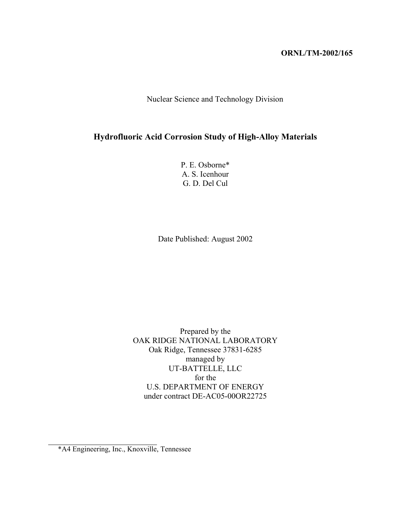#### **ORNL/TM-2002/165**

Nuclear Science and Technology Division

## **Hydrofluoric Acid Corrosion Study of High-Alloy Materials**

P. E. Osborne\* A. S. Icenhour G. D. Del Cul

Date Published: August 2002

Prepared by the OAK RIDGE NATIONAL LABORATORY Oak Ridge, Tennessee 37831-6285 managed by UT-BATTELLE, LLC for the U.S. DEPARTMENT OF ENERGY under contract DE-AC05-00OR22725

<sup>\*</sup>A4 Engineering, Inc., Knoxville, Tennessee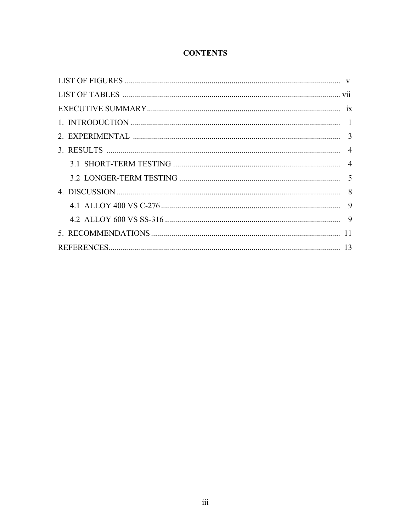# **CONTENTS**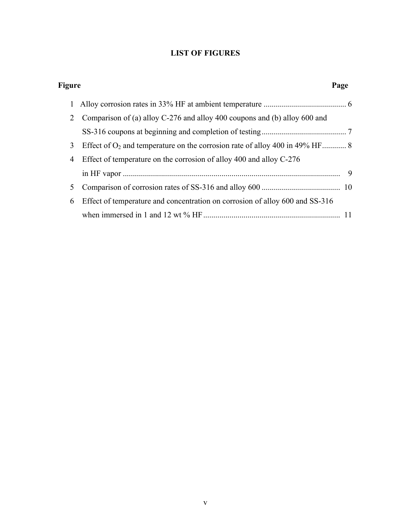# **LIST OF FIGURES**

| Figure |                                                                                | Page |
|--------|--------------------------------------------------------------------------------|------|
|        |                                                                                |      |
| 2      | Comparison of (a) alloy C-276 and alloy 400 coupons and (b) alloy 600 and      |      |
|        |                                                                                |      |
| 3      | Effect of $O_2$ and temperature on the corrosion rate of alloy 400 in 49% HF 8 |      |
| 4      | Effect of temperature on the corrosion of alloy 400 and alloy C-276            |      |
|        |                                                                                | -9   |
| 5      |                                                                                |      |
| 6      | Effect of temperature and concentration on corrosion of alloy 600 and SS-316   |      |
|        |                                                                                |      |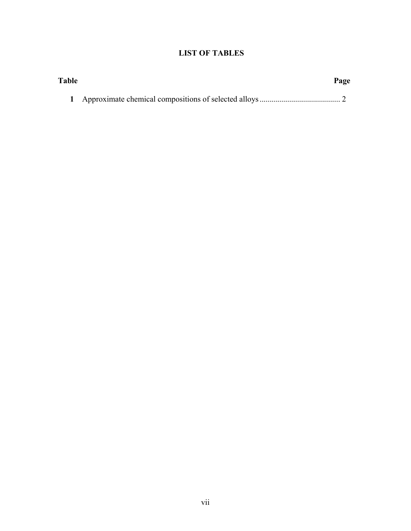# **LIST OF TABLES**

| <b>Table</b> | Page |
|--------------|------|
|              |      |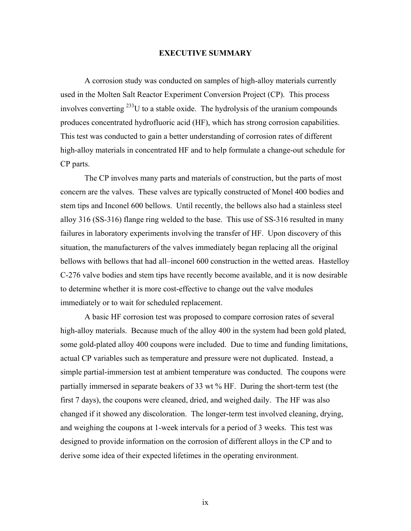#### **EXECUTIVE SUMMARY**

A corrosion study was conducted on samples of high-alloy materials currently used in the Molten Salt Reactor Experiment Conversion Project (CP). This process involves converting  $^{233}$ U to a stable oxide. The hydrolysis of the uranium compounds produces concentrated hydrofluoric acid (HF), which has strong corrosion capabilities. This test was conducted to gain a better understanding of corrosion rates of different high-alloy materials in concentrated HF and to help formulate a change-out schedule for CP parts.

The CP involves many parts and materials of construction, but the parts of most concern are the valves. These valves are typically constructed of Monel 400 bodies and stem tips and Inconel 600 bellows. Until recently, the bellows also had a stainless steel alloy 316 (SS-316) flange ring welded to the base. This use of SS-316 resulted in many failures in laboratory experiments involving the transfer of HF. Upon discovery of this situation, the manufacturers of the valves immediately began replacing all the original bellows with bellows that had all–inconel 600 construction in the wetted areas. Hastelloy C-276 valve bodies and stem tips have recently become available, and it is now desirable to determine whether it is more cost-effective to change out the valve modules immediately or to wait for scheduled replacement.

A basic HF corrosion test was proposed to compare corrosion rates of several high-alloy materials. Because much of the alloy 400 in the system had been gold plated, some gold-plated alloy 400 coupons were included. Due to time and funding limitations, actual CP variables such as temperature and pressure were not duplicated. Instead, a simple partial-immersion test at ambient temperature was conducted. The coupons were partially immersed in separate beakers of 33 wt % HF. During the short-term test (the first 7 days), the coupons were cleaned, dried, and weighed daily. The HF was also changed if it showed any discoloration. The longer-term test involved cleaning, drying, and weighing the coupons at 1-week intervals for a period of 3 weeks. This test was designed to provide information on the corrosion of different alloys in the CP and to derive some idea of their expected lifetimes in the operating environment.

ix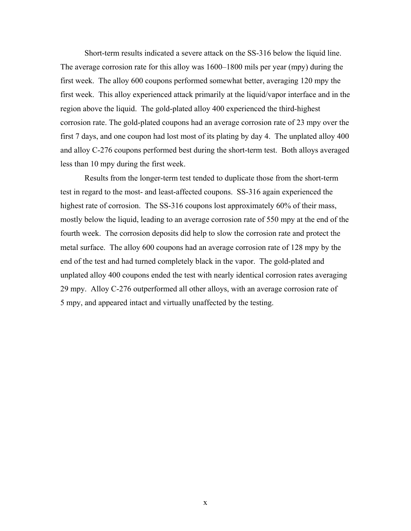Short-term results indicated a severe attack on the SS-316 below the liquid line. The average corrosion rate for this alloy was 1600–1800 mils per year (mpy) during the first week. The alloy 600 coupons performed somewhat better, averaging 120 mpy the first week. This alloy experienced attack primarily at the liquid/vapor interface and in the region above the liquid. The gold-plated alloy 400 experienced the third-highest corrosion rate. The gold-plated coupons had an average corrosion rate of 23 mpy over the first 7 days, and one coupon had lost most of its plating by day 4. The unplated alloy 400 and alloy C-276 coupons performed best during the short-term test. Both alloys averaged less than 10 mpy during the first week.

Results from the longer-term test tended to duplicate those from the short-term test in regard to the most- and least-affected coupons. SS-316 again experienced the highest rate of corrosion. The SS-316 coupons lost approximately 60% of their mass, mostly below the liquid, leading to an average corrosion rate of 550 mpy at the end of the fourth week. The corrosion deposits did help to slow the corrosion rate and protect the metal surface. The alloy 600 coupons had an average corrosion rate of 128 mpy by the end of the test and had turned completely black in the vapor. The gold-plated and unplated alloy 400 coupons ended the test with nearly identical corrosion rates averaging 29 mpy. Alloy C-276 outperformed all other alloys, with an average corrosion rate of 5 mpy, and appeared intact and virtually unaffected by the testing.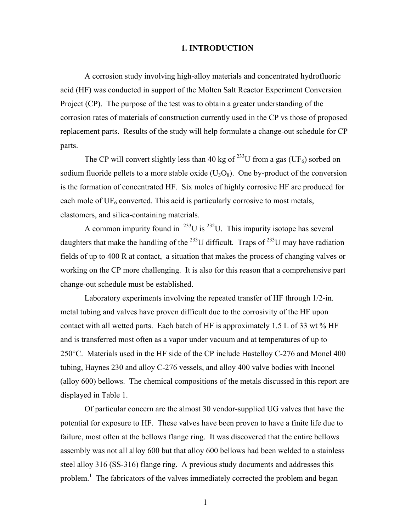#### **1. INTRODUCTION**

A corrosion study involving high-alloy materials and concentrated hydrofluoric acid (HF) was conducted in support of the Molten Salt Reactor Experiment Conversion Project (CP). The purpose of the test was to obtain a greater understanding of the corrosion rates of materials of construction currently used in the CP vs those of proposed replacement parts. Results of the study will help formulate a change-out schedule for CP parts.

The CP will convert slightly less than 40 kg of <sup>233</sup>U from a gas (UF<sub>6</sub>) sorbed on sodium fluoride pellets to a more stable oxide  $(U_3O_8)$ . One by-product of the conversion is the formation of concentrated HF. Six moles of highly corrosive HF are produced for each mole of  $UF_6$  converted. This acid is particularly corrosive to most metals, elastomers, and silica-containing materials.

A common impurity found in  $^{233}U$  is  $^{232}U$ . This impurity isotope has several daughters that make the handling of the <sup>233</sup>U difficult. Traps of <sup>233</sup>U may have radiation fields of up to 400 R at contact, a situation that makes the process of changing valves or working on the CP more challenging. It is also for this reason that a comprehensive part change-out schedule must be established.

Laboratory experiments involving the repeated transfer of HF through 1/2-in. metal tubing and valves have proven difficult due to the corrosivity of the HF upon contact with all wetted parts. Each batch of HF is approximately 1.5 L of 33 wt % HF and is transferred most often as a vapor under vacuum and at temperatures of up to 250°C. Materials used in the HF side of the CP include Hastelloy C-276 and Monel 400 tubing, Haynes 230 and alloy C-276 vessels, and alloy 400 valve bodies with Inconel (alloy 600) bellows. The chemical compositions of the metals discussed in this report are displayed in Table 1.

Of particular concern are the almost 30 vendor-supplied UG valves that have the potential for exposure to HF. These valves have been proven to have a finite life due to failure, most often at the bellows flange ring. It was discovered that the entire bellows assembly was not all alloy 600 but that alloy 600 bellows had been welded to a stainless steel alloy 316 (SS-316) flange ring. A previous study documents and addresses this problem.<sup>1</sup> The fabricators of the valves immediately corrected the problem and began

1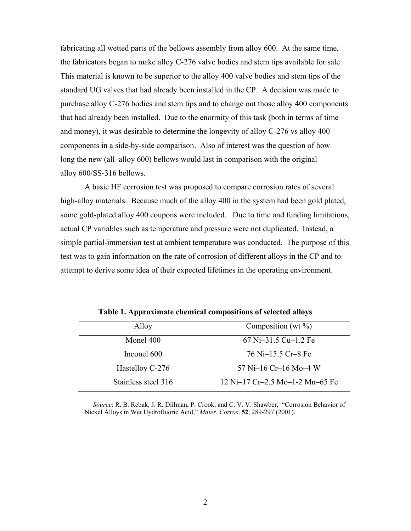fabricating all wetted parts of the bellows assembly from alloy 600. At the same time, the fabricators began to make alloy C-276 valve bodies and stem tips available for sale. This material is known to be superior to the alloy 400 valve bodies and stem tips of the standard UG valves that had already been installed in the CP. A decision was made to purchase alloy C-276 bodies and stem tips and to change out those alloy 400 components that had already been installed. Due to the enormity of this task (both in terms of time and money), it was desirable to determine the longevity of alloy C-276 vs alloy 400 components in a side-by-side comparison. Also of interest was the question of how long the new (all–alloy 600) bellows would last in comparison with the original alloy 600/SS-316 bellows.

A basic HF corrosion test was proposed to compare corrosion rates of several high-alloy materials. Because much of the alloy 400 in the system had been gold plated, some gold-plated alloy 400 coupons were included. Due to time and funding limitations, actual CP variables such as temperature and pressure were not duplicated. Instead, a simple partial-immersion test at ambient temperature was conducted. The purpose of this test was to gain information on the rate of corrosion of different alloys in the CP and to attempt to derive some idea of their expected lifetimes in the operating environment.

| Alloy               | Composition (wt $\%$ )          |
|---------------------|---------------------------------|
| Monel 400           | $67$ Ni-31.5 Cu-1.2 Fe          |
| Inconel 600         | 76 Ni-15.5 Cr-8 Fe              |
| Hastelloy C-276     | 57 Ni-16 Cr-16 Mo-4 W           |
| Stainless steel 316 | 12 Ni-17 Cr-2.5 Mo-1-2 Mn-65 Fe |

**Table 1. Approximate chemical compositions of selected alloys** 

 *Source*: R. B. Rebak, J. R. Dillman, P. Crook, and C. V. V. Shawber, "Corrosion Behavior of Nickel Alloys in Wet Hydrofluoric Acid," *Mater. Corros*. **52**, 289-297 (2001).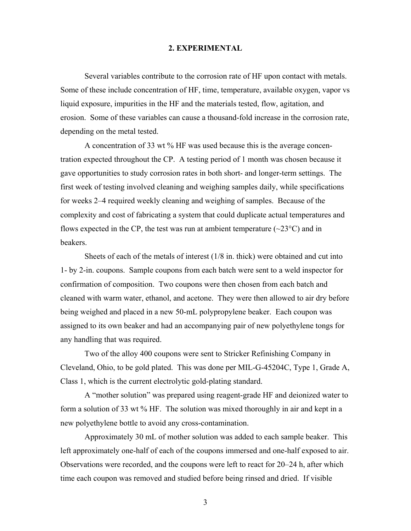#### **2. EXPERIMENTAL**

 Several variables contribute to the corrosion rate of HF upon contact with metals. Some of these include concentration of HF, time, temperature, available oxygen, vapor vs liquid exposure, impurities in the HF and the materials tested, flow, agitation, and erosion. Some of these variables can cause a thousand-fold increase in the corrosion rate, depending on the metal tested.

A concentration of 33 wt % HF was used because this is the average concentration expected throughout the CP. A testing period of 1 month was chosen because it gave opportunities to study corrosion rates in both short- and longer-term settings. The first week of testing involved cleaning and weighing samples daily, while specifications for weeks 2–4 required weekly cleaning and weighing of samples. Because of the complexity and cost of fabricating a system that could duplicate actual temperatures and flows expected in the CP, the test was run at ambient temperature  $(\sim 23^{\circ}C)$  and in beakers.

 Sheets of each of the metals of interest (1/8 in. thick) were obtained and cut into 1- by 2-in. coupons. Sample coupons from each batch were sent to a weld inspector for confirmation of composition. Two coupons were then chosen from each batch and cleaned with warm water, ethanol, and acetone. They were then allowed to air dry before being weighed and placed in a new 50-mL polypropylene beaker. Each coupon was assigned to its own beaker and had an accompanying pair of new polyethylene tongs for any handling that was required.

 Two of the alloy 400 coupons were sent to Stricker Refinishing Company in Cleveland, Ohio, to be gold plated. This was done per MIL-G-45204C, Type 1, Grade A, Class 1, which is the current electrolytic gold-plating standard.

 A "mother solution" was prepared using reagent-grade HF and deionized water to form a solution of 33 wt % HF. The solution was mixed thoroughly in air and kept in a new polyethylene bottle to avoid any cross-contamination.

 Approximately 30 mL of mother solution was added to each sample beaker. This left approximately one-half of each of the coupons immersed and one-half exposed to air. Observations were recorded, and the coupons were left to react for 20–24 h, after which time each coupon was removed and studied before being rinsed and dried. If visible

3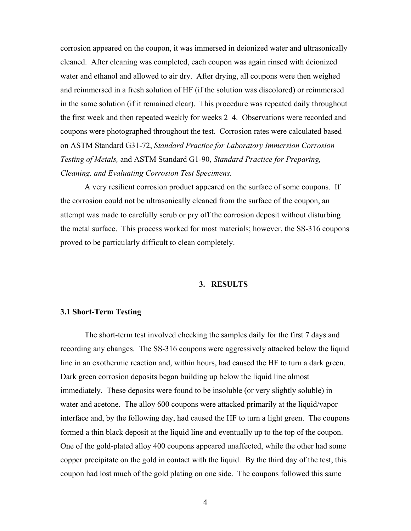corrosion appeared on the coupon, it was immersed in deionized water and ultrasonically cleaned. After cleaning was completed, each coupon was again rinsed with deionized water and ethanol and allowed to air dry. After drying, all coupons were then weighed and reimmersed in a fresh solution of HF (if the solution was discolored) or reimmersed in the same solution (if it remained clear). This procedure was repeated daily throughout the first week and then repeated weekly for weeks 2–4. Observations were recorded and coupons were photographed throughout the test. Corrosion rates were calculated based on ASTM Standard G31-72, *Standard Practice for Laboratory Immersion Corrosion Testing of Metals,* and ASTM Standard G1-90, *Standard Practice for Preparing, Cleaning, and Evaluating Corrosion Test Specimens.*

 A very resilient corrosion product appeared on the surface of some coupons. If the corrosion could not be ultrasonically cleaned from the surface of the coupon, an attempt was made to carefully scrub or pry off the corrosion deposit without disturbing the metal surface. This process worked for most materials; however, the SS-316 coupons proved to be particularly difficult to clean completely.

### **3. RESULTS**

#### **3.1 Short-Term Testing**

The short-term test involved checking the samples daily for the first 7 days and recording any changes. The SS-316 coupons were aggressively attacked below the liquid line in an exothermic reaction and, within hours, had caused the HF to turn a dark green. Dark green corrosion deposits began building up below the liquid line almost immediately. These deposits were found to be insoluble (or very slightly soluble) in water and acetone. The alloy 600 coupons were attacked primarily at the liquid/vapor interface and, by the following day, had caused the HF to turn a light green. The coupons formed a thin black deposit at the liquid line and eventually up to the top of the coupon. One of the gold-plated alloy 400 coupons appeared unaffected, while the other had some copper precipitate on the gold in contact with the liquid. By the third day of the test, this coupon had lost much of the gold plating on one side. The coupons followed this same

4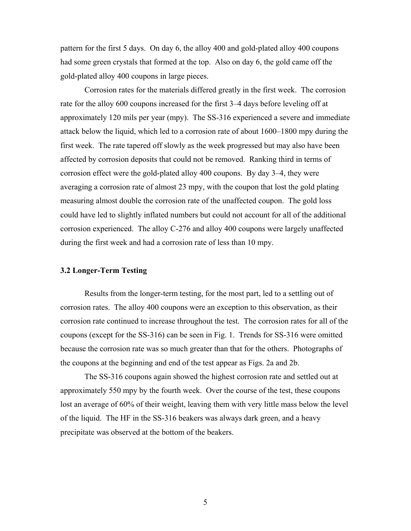pattern for the first 5 days. On day 6, the alloy 400 and gold-plated alloy 400 coupons had some green crystals that formed at the top. Also on day 6, the gold came off the gold-plated alloy 400 coupons in large pieces.

Corrosion rates for the materials differed greatly in the first week. The corrosion rate for the alloy 600 coupons increased for the first 3–4 days before leveling off at approximately 120 mils per year (mpy). The SS-316 experienced a severe and immediate attack below the liquid, which led to a corrosion rate of about 1600–1800 mpy during the first week. The rate tapered off slowly as the week progressed but may also have been affected by corrosion deposits that could not be removed. Ranking third in terms of corrosion effect were the gold-plated alloy 400 coupons. By day 3–4, they were averaging a corrosion rate of almost 23 mpy, with the coupon that lost the gold plating measuring almost double the corrosion rate of the unaffected coupon. The gold loss could have led to slightly inflated numbers but could not account for all of the additional corrosion experienced. The alloy C-276 and alloy 400 coupons were largely unaffected during the first week and had a corrosion rate of less than 10 mpy.

#### **3.2 Longer-Term Testing**

Results from the longer-term testing, for the most part, led to a settling out of corrosion rates. The alloy 400 coupons were an exception to this observation, as their corrosion rate continued to increase throughout the test. The corrosion rates for all of the coupons (except for the SS-316) can be seen in Fig. 1. Trends for SS-316 were omitted because the corrosion rate was so much greater than that for the others. Photographs of the coupons at the beginning and end of the test appear as Figs. 2a and 2b.

The SS-316 coupons again showed the highest corrosion rate and settled out at approximately 550 mpy by the fourth week. Over the course of the test, these coupons lost an average of 60% of their weight, leaving them with very little mass below the level of the liquid. The HF in the SS-316 beakers was always dark green, and a heavy precipitate was observed at the bottom of the beakers.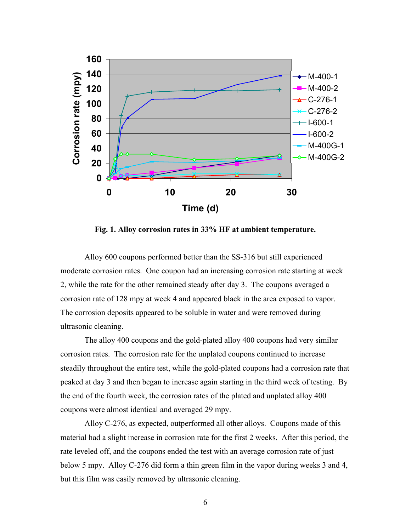

**Fig. 1. Alloy corrosion rates in 33% HF at ambient temperature.**

Alloy 600 coupons performed better than the SS-316 but still experienced moderate corrosion rates. One coupon had an increasing corrosion rate starting at week 2, while the rate for the other remained steady after day 3. The coupons averaged a corrosion rate of 128 mpy at week 4 and appeared black in the area exposed to vapor. The corrosion deposits appeared to be soluble in water and were removed during ultrasonic cleaning.

The alloy 400 coupons and the gold-plated alloy 400 coupons had very similar corrosion rates. The corrosion rate for the unplated coupons continued to increase steadily throughout the entire test, while the gold-plated coupons had a corrosion rate that peaked at day 3 and then began to increase again starting in the third week of testing. By the end of the fourth week, the corrosion rates of the plated and unplated alloy 400 coupons were almost identical and averaged 29 mpy.

Alloy C-276, as expected, outperformed all other alloys. Coupons made of this material had a slight increase in corrosion rate for the first 2 weeks. After this period, the rate leveled off, and the coupons ended the test with an average corrosion rate of just below 5 mpy. Alloy C-276 did form a thin green film in the vapor during weeks 3 and 4, but this film was easily removed by ultrasonic cleaning.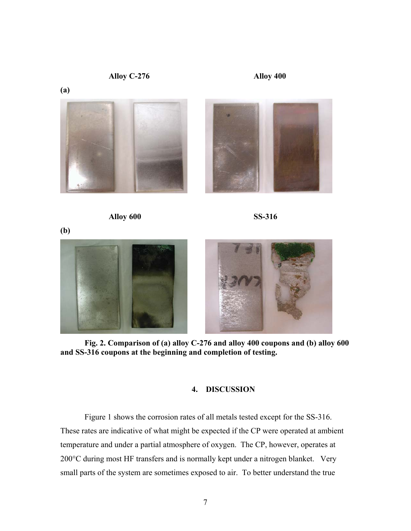**Alloy C-276** 

**(a)** 







 $\overline{\phantom{a}}$ 

**(b)** 



**Fig. 2. Comparison of (a) alloy C-276 and alloy 400 coupons and (b) alloy 600 and SS-316 coupons at the beginning and completion of testing.** 

### **4. DISCUSSION**

 Figure 1 shows the corrosion rates of all metals tested except for the SS-316. These rates are indicative of what might be expected if the CP were operated at ambient temperature and under a partial atmosphere of oxygen. The CP, however, operates at 200°C during most HF transfers and is normally kept under a nitrogen blanket. Very small parts of the system are sometimes exposed to air. To better understand the true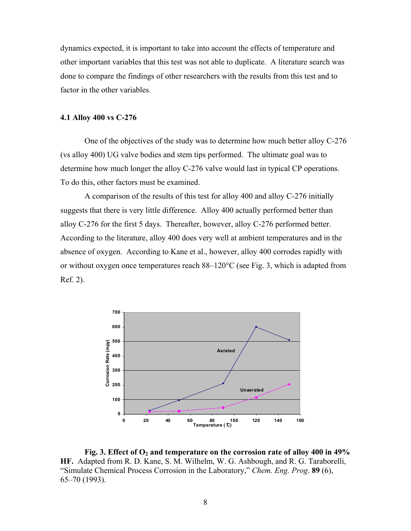dynamics expected, it is important to take into account the effects of temperature and other important variables that this test was not able to duplicate. A literature search was done to compare the findings of other researchers with the results from this test and to factor in the other variables.

#### **4.1 Alloy 400 vs C-276**

One of the objectives of the study was to determine how much better alloy C-276 (vs alloy 400) UG valve bodies and stem tips performed. The ultimate goal was to determine how much longer the alloy C-276 valve would last in typical CP operations. To do this, other factors must be examined.

A comparison of the results of this test for alloy 400 and alloy C-276 initially suggests that there is very little difference. Alloy 400 actually performed better than alloy C-276 for the first 5 days. Thereafter, however, alloy C-276 performed better. According to the literature, alloy 400 does very well at ambient temperatures and in the absence of oxygen. According to Kane et al., however, alloy 400 corrodes rapidly with or without oxygen once temperatures reach 88–120°C (see Fig. 3, which is adapted from Ref. 2).



Fig. 3. Effect of O<sub>2</sub> and temperature on the corrosion rate of alloy 400 in 49% **HF.** Adapted from R. D. Kane, S. M. Wilhelm, W. G. Ashbough, and R. G. Taraborelli, "Simulate Chemical Process Corrosion in the Laboratory," *Chem. Eng. Prog*. **89** (6), 65–70 (1993).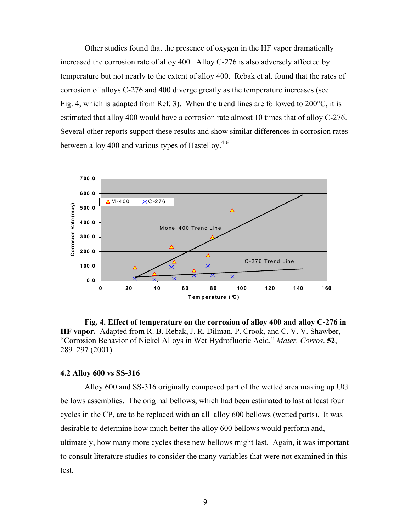Other studies found that the presence of oxygen in the HF vapor dramatically increased the corrosion rate of alloy 400. Alloy C-276 is also adversely affected by temperature but not nearly to the extent of alloy 400. Rebak et al. found that the rates of corrosion of alloys C-276 and 400 diverge greatly as the temperature increases (see Fig. 4, which is adapted from Ref. 3). When the trend lines are followed to 200°C, it is estimated that alloy 400 would have a corrosion rate almost 10 times that of alloy C-276. Several other reports support these results and show similar differences in corrosion rates between alloy 400 and various types of Hastelloy. $4-6$ 



**Fig. 4. Effect of temperature on the corrosion of alloy 400 and alloy C-276 in HF vapor.** Adapted from R. B. Rebak, J. R. Dilman, P. Crook, and C. V. V. Shawber, "Corrosion Behavior of Nickel Alloys in Wet Hydrofluoric Acid," *Mater. Corros*. **52**, 289–297 (2001).

#### **4.2 Alloy 600 vs SS-316**

 Alloy 600 and SS-316 originally composed part of the wetted area making up UG bellows assemblies. The original bellows, which had been estimated to last at least four cycles in the CP, are to be replaced with an all–alloy 600 bellows (wetted parts). It was desirable to determine how much better the alloy 600 bellows would perform and, ultimately, how many more cycles these new bellows might last. Again, it was important to consult literature studies to consider the many variables that were not examined in this test.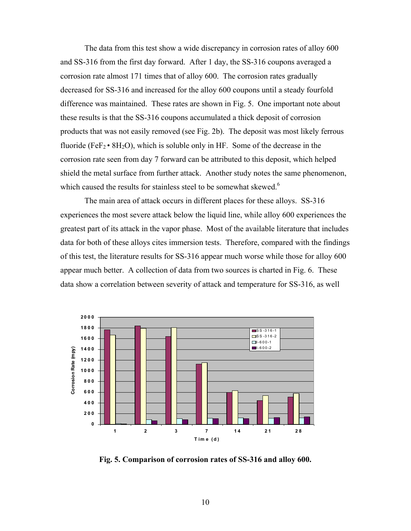The data from this test show a wide discrepancy in corrosion rates of alloy 600 and SS-316 from the first day forward. After 1 day, the SS-316 coupons averaged a corrosion rate almost 171 times that of alloy 600. The corrosion rates gradually decreased for SS-316 and increased for the alloy 600 coupons until a steady fourfold difference was maintained. These rates are shown in Fig. 5. One important note about these results is that the SS-316 coupons accumulated a thick deposit of corrosion products that was not easily removed (see Fig. 2b). The deposit was most likely ferrous fluoride (FeF<sub>2</sub> • 8H<sub>2</sub>O), which is soluble only in HF. Some of the decrease in the corrosion rate seen from day 7 forward can be attributed to this deposit, which helped shield the metal surface from further attack. Another study notes the same phenomenon, which caused the results for stainless steel to be somewhat skewed.<sup>6</sup>

The main area of attack occurs in different places for these alloys. SS-316 experiences the most severe attack below the liquid line, while alloy 600 experiences the greatest part of its attack in the vapor phase. Most of the available literature that includes data for both of these alloys cites immersion tests. Therefore, compared with the findings of this test, the literature results for SS-316 appear much worse while those for alloy 600 appear much better. A collection of data from two sources is charted in Fig. 6. These data show a correlation between severity of attack and temperature for SS-316, as well



**Fig. 5. Comparison of corrosion rates of SS-316 and alloy 600.**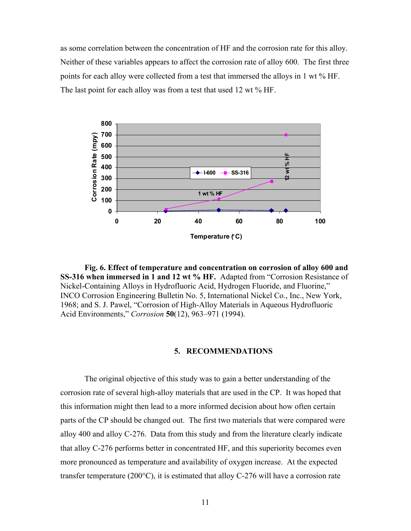as some correlation between the concentration of HF and the corrosion rate for this alloy. Neither of these variables appears to affect the corrosion rate of alloy 600. The first three points for each alloy were collected from a test that immersed the alloys in 1 wt % HF. The last point for each alloy was from a test that used 12 wt % HF.



**Fig. 6. Effect of temperature and concentration on corrosion of alloy 600 and SS-316 when immersed in 1 and 12 wt % HF.** Adapted from "Corrosion Resistance of Nickel-Containing Alloys in Hydrofluoric Acid, Hydrogen Fluoride, and Fluorine," INCO Corrosion Engineering Bulletin No. 5, International Nickel Co., Inc., New York, 1968; and S. J. Pawel, "Corrosion of High-Alloy Materials in Aqueous Hydrofluoric Acid Environments," *Corrosion* **50**(12), 963–971 (1994).

#### **5. RECOMMENDATIONS**

The original objective of this study was to gain a better understanding of the corrosion rate of several high-alloy materials that are used in the CP. It was hoped that this information might then lead to a more informed decision about how often certain parts of the CP should be changed out. The first two materials that were compared were alloy 400 and alloy C-276. Data from this study and from the literature clearly indicate that alloy C-276 performs better in concentrated HF, and this superiority becomes even more pronounced as temperature and availability of oxygen increase. At the expected transfer temperature (200 $^{\circ}$ C), it is estimated that alloy C-276 will have a corrosion rate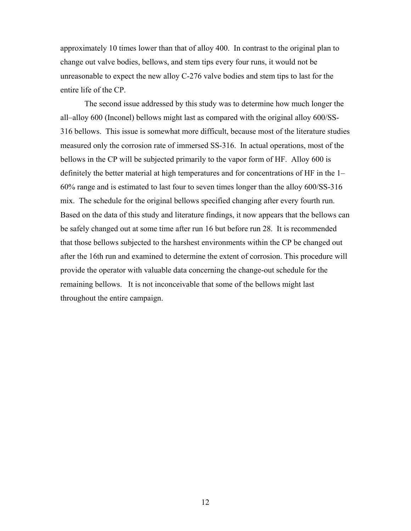approximately 10 times lower than that of alloy 400. In contrast to the original plan to change out valve bodies, bellows, and stem tips every four runs, it would not be unreasonable to expect the new alloy C-276 valve bodies and stem tips to last for the entire life of the CP.

 The second issue addressed by this study was to determine how much longer the all–alloy 600 (Inconel) bellows might last as compared with the original alloy 600/SS-316 bellows. This issue is somewhat more difficult, because most of the literature studies measured only the corrosion rate of immersed SS-316. In actual operations, most of the bellows in the CP will be subjected primarily to the vapor form of HF. Alloy 600 is definitely the better material at high temperatures and for concentrations of HF in the 1– 60% range and is estimated to last four to seven times longer than the alloy 600/SS-316 mix. The schedule for the original bellows specified changing after every fourth run. Based on the data of this study and literature findings, it now appears that the bellows can be safely changed out at some time after run 16 but before run 28. It is recommended that those bellows subjected to the harshest environments within the CP be changed out after the 16th run and examined to determine the extent of corrosion. This procedure will provide the operator with valuable data concerning the change-out schedule for the remaining bellows. It is not inconceivable that some of the bellows might last throughout the entire campaign.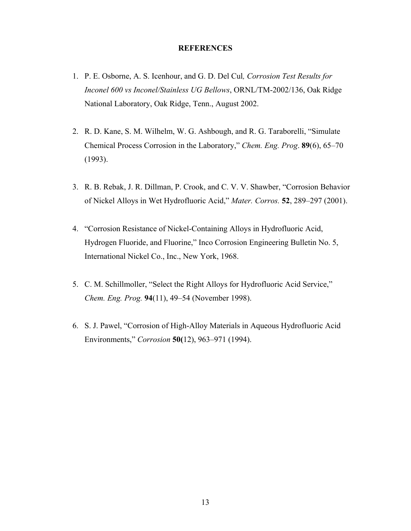#### **REFERENCES**

- 1. P. E. Osborne, A. S. Icenhour, and G. D. Del Cul*, Corrosion Test Results for Inconel 600 vs Inconel/Stainless UG Bellows*, ORNL/TM-2002/136, Oak Ridge National Laboratory, Oak Ridge, Tenn., August 2002.
- 2. R. D. Kane, S. M. Wilhelm, W. G. Ashbough, and R. G. Taraborelli, "Simulate Chemical Process Corrosion in the Laboratory," *Chem. Eng. Prog*. **89**(6), 65–70 (1993).
- 3. R. B. Rebak, J. R. Dillman, P. Crook, and C. V. V. Shawber, "Corrosion Behavior of Nickel Alloys in Wet Hydrofluoric Acid," *Mater. Corros.* **52**, 289–297 (2001).
- 4. "Corrosion Resistance of Nickel-Containing Alloys in Hydrofluoric Acid, Hydrogen Fluoride, and Fluorine," Inco Corrosion Engineering Bulletin No. 5, International Nickel Co., Inc., New York, 1968.
- 5. C. M. Schillmoller, "Select the Right Alloys for Hydrofluoric Acid Service," *Chem. Eng. Prog.* **94**(11), 49–54 (November 1998).
- 6. S. J. Pawel, "Corrosion of High-Alloy Materials in Aqueous Hydrofluoric Acid Environments," *Corrosion* **50(**12), 963–971 (1994).